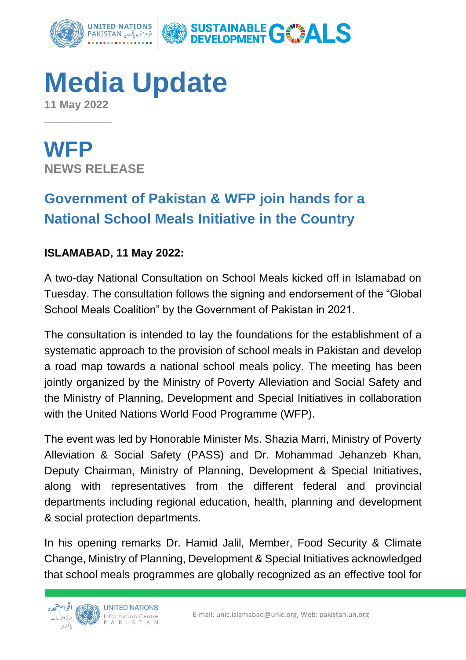

## **Media Update**

**11 May 2022**  $\overline{\phantom{a}}$  , where  $\overline{\phantom{a}}$ 

**WFP NEWS RELEASE**

## **Government of Pakistan & WFP join hands for a National School Meals Initiative in the Country**

## **ISLAMABAD, 11 May 2022:**

A two-day National Consultation on School Meals kicked off in Islamabad on Tuesday. The consultation follows the signing and endorsement of the "Global School Meals Coalition" by the Government of Pakistan in 2021.

The consultation is intended to lay the foundations for the establishment of a systematic approach to the provision of school meals in Pakistan and develop a road map towards a national school meals policy. The meeting has been jointly organized by the Ministry of Poverty Alleviation and Social Safety and the Ministry of Planning, Development and Special Initiatives in collaboration with the United Nations World Food Programme (WFP).

The event was led by Honorable Minister Ms. Shazia Marri, Ministry of Poverty Alleviation & Social Safety (PASS) and Dr. Mohammad Jehanzeb Khan, Deputy Chairman, Ministry of Planning, Development & Special Initiatives, along with representatives from the different federal and provincial departments including regional education, health, planning and development & social protection departments.

In his opening remarks Dr. Hamid Jalil, Member, Food Security & Climate Change, Ministry of Planning, Development & Special Initiatives acknowledged that school meals programmes are globally recognized as an effective tool for

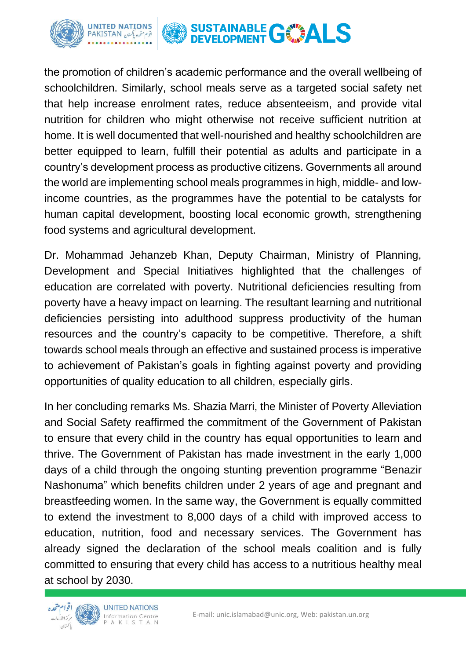

the promotion of children's academic performance and the overall wellbeing of schoolchildren. Similarly, school meals serve as a targeted social safety net that help increase enrolment rates, reduce absenteeism, and provide vital nutrition for children who might otherwise not receive sufficient nutrition at home. It is well documented that well-nourished and healthy schoolchildren are better equipped to learn, fulfill their potential as adults and participate in a country's development process as productive citizens. Governments all around the world are implementing school meals programmes in high, middle- and lowincome countries, as the programmes have the potential to be catalysts for human capital development, boosting local economic growth, strengthening food systems and agricultural development.

Dr. Mohammad Jehanzeb Khan, Deputy Chairman, Ministry of Planning, Development and Special Initiatives highlighted that the challenges of education are correlated with poverty. Nutritional deficiencies resulting from poverty have a heavy impact on learning. The resultant learning and nutritional deficiencies persisting into adulthood suppress productivity of the human resources and the country's capacity to be competitive. Therefore, a shift towards school meals through an effective and sustained process is imperative to achievement of Pakistan's goals in fighting against poverty and providing opportunities of quality education to all children, especially girls.

In her concluding remarks Ms. Shazia Marri, the Minister of Poverty Alleviation and Social Safety reaffirmed the commitment of the Government of Pakistan to ensure that every child in the country has equal opportunities to learn and thrive. The Government of Pakistan has made investment in the early 1,000 days of a child through the ongoing stunting prevention programme "Benazir Nashonuma" which benefits children under 2 years of age and pregnant and breastfeeding women. In the same way, the Government is equally committed to extend the investment to 8,000 days of a child with improved access to education, nutrition, food and necessary services. The Government has already signed the declaration of the school meals coalition and is fully committed to ensuring that every child has access to a nutritious healthy meal at school by 2030.